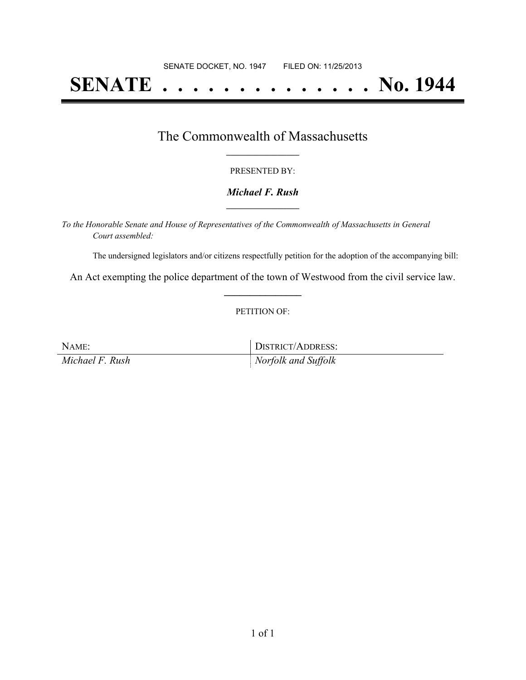# **SENATE . . . . . . . . . . . . . . No. 1944**

### The Commonwealth of Massachusetts **\_\_\_\_\_\_\_\_\_\_\_\_\_\_\_\_\_**

#### PRESENTED BY:

#### *Michael F. Rush* **\_\_\_\_\_\_\_\_\_\_\_\_\_\_\_\_\_**

*To the Honorable Senate and House of Representatives of the Commonwealth of Massachusetts in General Court assembled:*

The undersigned legislators and/or citizens respectfully petition for the adoption of the accompanying bill:

An Act exempting the police department of the town of Westwood from the civil service law. **\_\_\_\_\_\_\_\_\_\_\_\_\_\_\_**

#### PETITION OF:

NAME: DISTRICT/ADDRESS: *Michael F. Rush Norfolk and Suffolk*